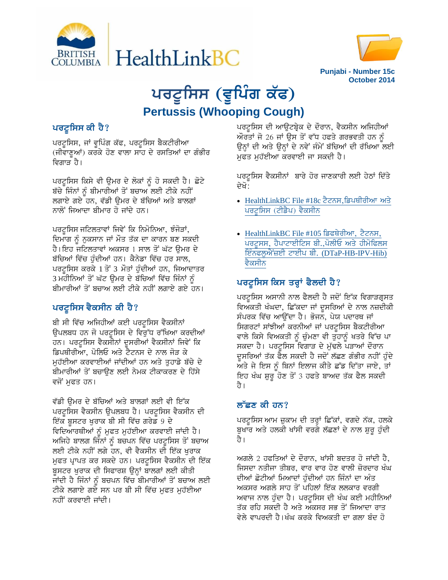



# ਪਰਟੂਸਿਸ (ਵੂਪਿੰਗ ਕੱ**ਫ**) **Pertussis (Whooping Cough)**

## **ਪਰਟੂਸਿਸ ਕੀ ਹੈ**?

ਪਰਟੂਸਿਸ, ਜਾਂ ਵੁਪਿੰਗ ਕੱਫ, ਪਰਟੂਸਿਸ ਬੈਕਟੀਰੀਆ (ਜੀਵਾਣੂਆਂ) ਕਰਕੇ ਹੋਣ ਵਾਲਾ ਸਾਹ ਦੇ ਰਸਤਿਆਂ ਦਾ ਗੰਭੀਰ ਵਿਗਾਤ ਹੈ।

ਪਰਟੂਸਿਸ ਕਿਸੇ ਵੀ ਉਮਰ ਦੇ ਲੋਕਾਂ ਨੂੰ ਹੋ ਸਕਦੀ ਹੈ। ਛੋਟੇ ਬੱਚੇ ਜਿੰਨਾਂ ਨੂੰ ਬੀਮਾਰੀਆਂ ਤੋਂ ਬਚਾਅ ਲਈ ਟੀਕੇ ਨਹੀਂ<sup>-</sup> ਲਗਾਏ ਗਏ ਹਨ, ਵੱਡੀ ਉਮਰ ਦੇ ਬੱਚਿਆਂ ਅਤੇ ਬਾਲਗਾਂ ਨਾਲੋਂ ਜਿਆਦਾ ਬੀਮਾਰ ਹੋ ਜਾਂਦੇ ਹਨ।

ਪਰਟੁਸਿਸ ਜਟਿਲਤਾਵਾਂ ਜਿਵੇਂ ਕਿ ਨਿਮੋਨਿਆ, ਝੰਜੋੜਾਂ, ਦਿਮਾਗ ਨੂੰ ਨੁਕਸਾਨ ਜਾਂ ਮੌਤ ਤੱਕ ਦਾ ਕਾਰਨ ਬਣ ਸਕਦੀ ਹੈ।ਇਹ ਜਟਿਲਤਾਵਾਂ ਅਕਸਰ 1 ਸਾਲ ਤੋਂ ਘੱਟ ੳਮਰ ਦੇ ਬੱਚਿਆਂ ਵਿੱਚ ਹੰਦੀਆਂ ਹਨ। ਕੈਨੇਡਾ ਵਿੱਚ ਹਰ ਸਾਲ, ਪਰਟੂਸਿਸ ਕਰਕੇ 1 ਤੋਂ 3 ਮੌਤਾਂ ਹੁੰਦੀਆਂ ਹਨ, ਜਿਆਦਾਤਰ 3 ਮਹੀਨਿਆਂ ਤੋਂ ਘੱਟ ਉਮਰ ਦੇ ਬੱਚਿਆਂ ਵਿੱਚ ਜਿੰਨਾਂ ਨੂੰ ਬੀਮਾਰੀਆਂ ਤੋਂ ਬਚਾਅ ਲਈ ਟੀਕੇ ਨਹੀਂ ਲਗਾਏ ਗਏ ਹਨ।

## ਪਰਟੁਸਿਸ ਵੈਕਸੀਨ ਕੀ ਹੈ?

ਬੀ ਸੀ ਵਿੱਚ ਅਜਿਹੀਆਂ ਕਈ ਪਰਟੁਸਿਸ ਵੈਕਸੀਨਾਂ ਉਪਲਬਧ ਹਨ ਜੋ ਪਰਟੂਸਿਸ ਦੇ ਵਿਰੁੱਧ ਰੱਖਿਆ ਕਰਦੀਆਂ ਹਨ। ਪਰਟੂਸਿਸ ਵੈਕਸੀਨਾਂ ਦੁਸਰੀਆਂ ਵੈਕਸੀਨਾਂ ਜਿਵੇਂ ਕਿ ਡਿਪਥੀਰੀਆ, ਪੋਲਿਓ ਅਤੇ ਟੈਟਨਸ ਦੇ ਨਾਲ ਜੋੜ ਕੇ ਮੁਹੱਈਆ ਕਰਵਾਈਆਂ ਜਾਂਦੀਆਂ ਹਨ ਅਤੇ ਤੁਹਾਡੇ ਬੱਚੇ ਦੇ ਬੀਮਾਰੀਆਂ ਤੋਂ ਬਚਾੳਣ ਲਈ ਨੇਮਕ ਟੀਕਾਕਰਣ ਦੇ ਹਿੱਸੇ ਵਜੋਂ ਮੁਫਤ ਹਨ।

ਵੱਡੀ ੳਮਰ ਦੇ ਬੱਚਿਆਂ ਅਤੇ ਬਾਲਗਾਂ ਲਈ ਵੀ ਇੱਕ ਪਰਟੂਸਿਸ ਵੈਕਸੀਨ ਉਪਲਬਧ ਹੈ। ਪਰਟੂਸਿਸ ਵੈਕਸੀਨ ਦੀ ਇੱਕ ਬੁਸਟਰ ਖੁਰਾਕ ਬੀ ਸੀ ਵਿੱਚ ਗਰੇਡ 9 ਦੇ ਵਿਦਿਆਰਥੀਆਂ ਨੂੰ ਮੁਫਤ ਮੁਹੱਈਆ ਕਰਵਾਈ ਜਾਂਦੀ ਹੈ। ਅਜਿਹੇ ਬਾਲਗ ਜਿੰਨਾਂ ਨੂੰ ਬਚਪਨ ਵਿੱਚ ਪਰਟੂਸਿਸ ਤੋਂ ਬਚਾਅ ਲਈ ਟੀਕੇ ਨਹੀਂ ਲਗੇ ਹਨ, ਵੀ ਵੈਕਸੀਨ ਦੀ ਇੱਕ ਖੁਰਾਕ ਮੁਫਤ ਪ੍ਰਾਪਤ ਕਰ ਸਕਦੇ ਹਨ। ਪਰਟੂਸਿਸ ਵੈਕਸੀਨ ਦੀ ਇੱਕ ਬੂਸਟਰ ਖੁਰਾਕ ਦੀ ਸਿਫਾਰਸ਼ ਉਨ੍ਹਾਂ ਬਾਲਗਾਂ ਲਈ ਕੀਤੀ ਜਾਂਦੀ ਹੈ ਜਿੰਨਾਂ ਨੂੰ ਬਚਪਨ ਵਿੱਚ ਬੀਮਾਰੀਆਂ ਤੋਂ ਬਚਾਅ ਲਈ ਟੀਕੇ ਲਗਾਏ ਗਏ ਸਨ ਪਰ ਬੀ ਸੀ ਵਿੱਚ ਮੁਫਤ ਮੁਹੱਈਆ ਨਹੀਂ ਕਰਵਾਈ ਜਾਂਦੀ।

ਪਰਟੂਸਿਸ ਦੀ ਆਉਟਬ੍ਰੇਕ ਦੇ ਦੌਰਾਨ, ਵੈਕਸੀਨ ਅਜਿਹੀਆਂ  $\tilde{W}$ ਰਤਾਂ ਜੋ 26 ਜਾਂ ਉਸ ਤੋਂ ਵੱਧ ਹਫਤੇ ਗਰਭਵਤੀ ਹਨ ਨੂੰ ਉਨ੍ਹਾਂ ਦੀ ਅਤੇ ਉਨ੍ਹਾਂ ਦੇ ਨਵੇਂ ਜੰਮੇਂ ਬੱਚਿਆਂ ਦੀ ਰੱਖਿਆ ਲਈ ਮੁਫਤ ਮੁਹੱਈਆ ਕਰਵਾਈ ਜਾ ਸਕਦੀ ਹੈ।

ਪਰਟੂਸਿਸ ਵੈਕਸੀਨਾਂ ਬਾਰੇ ਹੋਰ ਜਾਣਕਾਰੀ ਲਈ ਹੇਠਾਂ ਦਿੱਤੇ ਦੇਖੋ:

- [HealthLinkBC File #18c](http://www.healthlinkbc.ca/healthfiles/bilingua/punjabi/hfile18c-P.pdf) ਟੈਟਨਸ,ਡਿਪਥੀਰੀਆ ਅਤੇ ਪਰਟੂਸਿਸ (ਟੀਡੈਪ) ਵੈਕਸੀਨ
- [HealthLinkBC File #105](http://www.healthlinkbc.ca/healthfiles/bilingua/punjabi/hfile105-P.pdf) ਡਿਫਥੇਰੀਆ, ਟੈਟਨਸ, ਪਰਟੂਸਸ, ਹੈਪਾਟਾਈਟਿਸ ਬੀ.,ਪੋਲੀਓ ਅਤੇ ਹੀਮੋਫਿਲਸ <u>ਇੰਨਫਲੂਐਂਜ਼ਈ ਟਾਈਪ ਬੀ. (DTaP-HB-IPV-Hib)</u> ਵੈਕਸੀਨ

## <u>ਪਰਟੂਸਿਸ ਕਿਸ ਤਰ੍ਹਾਂ ਫੈਲਦੀ ਹੈ?</u>

ਪਰਟੂਸਿਸ ਅਸਾਨੀ ਨਾਲ ਫੈਲਦੀ ਹੈ ਜਦੋਂ ਇੱਕ ਵਿਗਾੜਗ੍ਰਸਤ ਵਿਅਕਤੀ ਖੰਘਦਾ, ਛਿੱਕਦਾ ਜਾਂ ਦੁਸਰਿਆਂ ਦੇ ਨਾਲ ਨਜ਼ਦੀਕੀ ਸੰਪਰਕ ਵਿੱਚ ਆਉਂਦਾ ਹੈ। ਭੋਜਨ, ਪੇਯ ਪਦਾਰਥ ਜਾਂ ਸਿਗਰਟਾਂ ਸਾਂਝੀਆਂ ਕਰਨੀਆਂ ਜਾਂ ਪਰਟੂਸਿਸ ਬੈਕਟੀਰੀਆ ਵਾਲੇ ਕਿਸੇ ਵਿਅਕਤੀ ਨੂੰ ਚੁੰਮਣਾ ਵੀ ਤੁਹਾਨੂੰ ਖਤਰੇ ਵਿੱਚ ਪਾ ਸਕਦਾ ਹੈ। ਪਰਟੂਸਿਸ ਵਿਗਾੜ ਦੇ ਮੁੱਢਲੇ ਪੜਾਆਂ ਦੌਰਾਨ ਦੁਸਰਿਆਂ ਤੱਕ ਫੈਲ ਸਕਦੀ ਹੈ ਜਦੋਂ ਲੱਛਣ ਗੰਭੀਰ ਨਹੀਂ ਹੁੰਦੇ ਅਤੇ ਜੇ ਇਸ ਨੂੰ ਬਿਨਾਂ ਇਲਾਜ ਕੀਤੇ ਛੱਡ ਦਿੱਤਾ ਜਾਏ, ਤਾਂ ਇਹ ਖੰਘ ਸ਼ੁਰੂ ਹੋਣ ਤੋਂ 3 ਹਫਤੇ ਬਾਅਦ ਤੱਕ ਫੈਲ ਸਕਦੀ ते ।

## <u>ਲੱਛਣ ਕੀ ਹਨ?</u>

ਪਰਟੂਸਿਸ ਆਮ ਜ਼ੁਕਾਮ ਦੀ ਤਰ੍ਹਾਂ ਛਿੱਕਾਂ, ਵਗਦੇ ਨੱਕ, ਹਲਕੇ ਬੁਖਾਰ ਅਤੇ ਹਲਕੀ ਖਾਂਸੀ ਵਰਗੇ ਲੱਛਣਾਂ ਦੇ ਨਾਲ ਸ਼ੁਰੂ ਹੁੰਦੀ ਹੈ।

ਅਗਲੇ 2 ਹਫਤਿਆਂ ਦੇ ਦੌਰਾਨ, ਖਾਂਸੀ ਬਦਤਰ ਹੋ ਜਾਂਦੀ ਹੈ, ਜਿਸਦਾ ਨਤੀਜਾ ਤੀਬਰ, ਵਾਰ ਵਾਰ ਹੋਣ ਵਾਲੀ ਜ਼ੋਰਦਾਰ ਖੰਘ ਦੀਆਂ ਛੋਟੀਆਂ ਮਿਆਦਾਂ ਹੁੰਦੀਆਂ ਹਨ ਜਿੰਨਾਂ ਦਾ ਅੰਤ ਅਕਸਰ ਅਗਲੇ ਸਾਹ ਤੋਂ ਪਹਿਲਾਂ ਇੱਕ ਲਲਕਾਰ ਵਰਗੀ ਅਵਾਜ ਨਾਲ ਹੁੰਦਾ ਹੈ। ਪਰਟੂਸਿਸ ਦੀ ਖੰਘ ਕਈ ਮਹੀਨਿਆਂ ਤੱਕ ਰਹਿ ਸਕਦੀ ਹੈ ਅਤੇ ਅਕਸਰ ਸਭ ਤੋਂ ਜਿਆਦਾ ਰਾਤ ਵੇਲੇ ਵਾਪਰਦੀ ਹੈ।ਖੰਘ ਕਰਕੇ ਵਿਅਕਤੀ ਦਾ ਗਲਾ ਬੰਦ ਹੋ